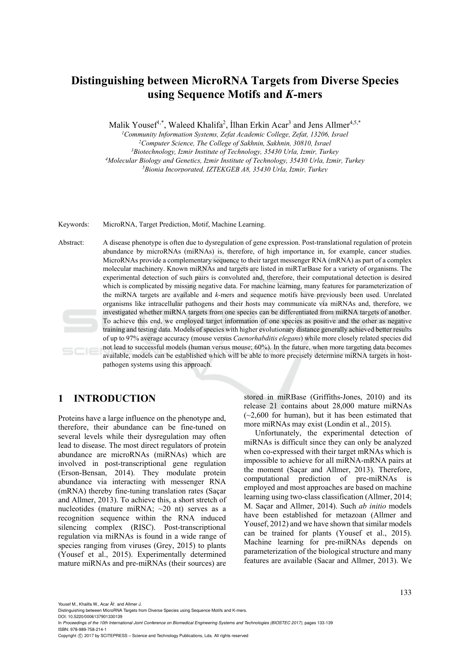# **Distinguishing between MicroRNA Targets from Diverse Species using Sequence Motifs and** *K-***mers**

Malik Yousef<sup>1,\*</sup>, Waleed Khalifa<sup>2</sup>, İlhan Erkin Acar<sup>3</sup> and Jens Allmer<sup>4,5,\*</sup>

<sup>1</sup> Community Information Systems, Zefat Academic College, Zefat, 13206, Israel <sup>2</sup>Computer Science, The College of Sakhnin, Sakhnin, 30810, Israel<br><sup>3</sup>Biotechnology, Izmir Institute of Technology, 35430 Urla, Izmir, Turkey <sup>4</sup>Molecular Biology and Genetics, Izmir Institute of Technology, 35430 Urla, Izmir, Turkey<br><sup>5</sup>Bionia Incorporated, IZTEKGEB A8, 35430 Urla, Izmir, Turkey

Keywords: MicroRNA, Target Prediction, Motif, Machine Learning.

Abstract: A disease phenotype is often due to dysregulation of gene expression. Post-translational regulation of protein abundance by microRNAs (miRNAs) is, therefore, of high importance in, for example, cancer studies. MicroRNAs provide a complementary sequence to their target messenger RNA (mRNA) as part of a complex molecular machinery. Known miRNAs and targets are listed in miRTarBase for a variety of organisms. The experimental detection of such pairs is convoluted and, therefore, their computational detection is desired which is complicated by missing negative data. For machine learning, many features for parameterization of the miRNA targets are available and *k-*mers and sequence motifs have previously been used. Unrelated organisms like intracellular pathogens and their hosts may communicate via miRNAs and, therefore, we investigated whether miRNA targets from one species can be differentiated from miRNA targets of another. To achieve this end, we employed target information of one species as positive and the other as negative training and testing data. Models of species with higher evolutionary distance generally achieved better results of up to 97% average accuracy (mouse versus *Caenorhabditis elegans*) while more closely related species did not lead to successful models (human versus mouse; 60%). In the future, when more targeting data becomes available, models can be established which will be able to more precisely determine miRNA targets in hostpathogen systems using this approach.

# **1 INTRODUCTION**

Proteins have a large influence on the phenotype and, therefore, their abundance can be fine-tuned on several levels while their dysregulation may often lead to disease. The most direct regulators of protein abundance are microRNAs (miRNAs) which are involved in post-transcriptional gene regulation (Erson-Bensan, 2014). They modulate protein abundance via interacting with messenger RNA (mRNA) thereby fine-tuning translation rates (Saçar and Allmer, 2013). To achieve this, a short stretch of nucleotides (mature miRNA; ~20 nt) serves as a recognition sequence within the RNA induced silencing complex (RISC). Post-transcriptional regulation via miRNAs is found in a wide range of species ranging from viruses (Grey, 2015) to plants (Yousef et al., 2015). Experimentally determined mature miRNAs and pre-miRNAs (their sources) are

stored in miRBase (Griffiths-Jones, 2010) and its release 21 contains about 28,000 mature miRNAs  $(-2.600)$  for human), but it has been estimated that more miRNAs may exist (Londin et al., 2015).

Unfortunately, the experimental detection of miRNAs is difficult since they can only be analyzed when co-expressed with their target mRNAs which is impossible to achieve for all miRNA-mRNA pairs at the moment (Saçar and Allmer, 2013). Therefore, computational prediction of pre-miRNAs is employed and most approaches are based on machine learning using two-class classification (Allmer, 2014; M. Saçar and Allmer, 2014). Such *ab initio* models have been established for metazoan (Allmer and Yousef, 2012) and we have shown that similar models can be trained for plants (Yousef et al., 2015). Machine learning for pre-miRNAs depends on parameterization of the biological structure and many features are available (Sacar and Allmer, 2013). We

Yousef M., Khalifa W., Acar Äř, and Allmer J.

DOI: 10.5220/0006137901330139

In *Proceedings of the 10th International Joint Conference on Biomedical Engineering Systems and Technologies (BIOSTEC 2017)*, pages 133-139 ISBN: 978-989-758-214-1

Copyright © 2017 by SCITEPRESS - Science and Technology Publications, Lda. All rights reserved

Distinguishing between MicroRNA Targets from Diverse Species using Sequence Motifs and K-mers.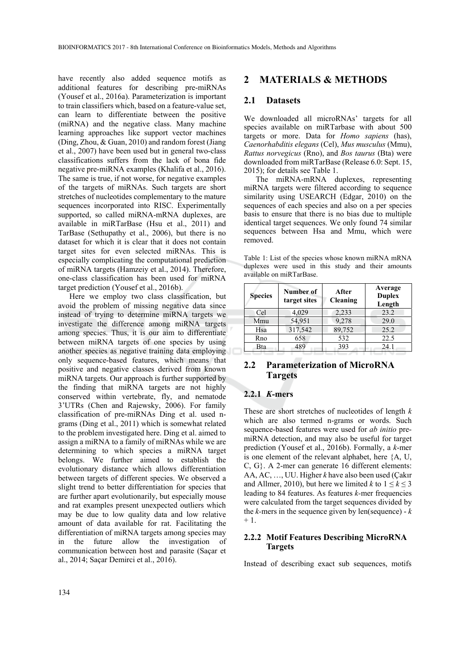have recently also added sequence motifs as additional features for describing pre-miRNAs (Yousef et al., 2016a). Parameterization is important to train classifiers which, based on a feature-value set, can learn to differentiate between the positive (miRNA) and the negative class. Many machine learning approaches like support vector machines (Ding, Zhou, & Guan, 2010) and random forest (Jiang et al., 2007) have been used but in general two-class classifications suffers from the lack of bona fide negative pre-miRNA examples (Khalifa et al., 2016). The same is true, if not worse, for negative examples of the targets of miRNAs. Such targets are short stretches of nucleotides complementary to the mature sequences incorporated into RISC. Experimentally supported, so called miRNA-mRNA duplexes, are available in miRTarBase (Hsu et al., 2011) and TarBase (Sethupathy et al., 2006), but there is no dataset for which it is clear that it does not contain target sites for even selected miRNAs. This is especially complicating the computational prediction of miRNA targets (Hamzeiy et al., 2014). Therefore, one-class classification has been used for miRNA target prediction (Yousef et al., 2016b).

Here we employ two class classification, but avoid the problem of missing negative data since instead of trying to determine miRNA targets we investigate the difference among miRNA targets among species. Thus, it is our aim to differentiate between miRNA targets of one species by using another species as negative training data employing only sequence-based features, which means that positive and negative classes derived from known miRNA targets. Our approach is further supported by the finding that miRNA targets are not highly conserved within vertebrate, fly, and nematode 3'UTRs (Chen and Rajewsky, 2006). For family classification of pre-miRNAs Ding et al. used ngrams (Ding et al., 2011) which is somewhat related to the problem investigated here. Ding et al. aimed to assign a miRNA to a family of miRNAs while we are determining to which species a miRNA target belongs. We further aimed to establish the evolutionary distance which allows differentiation between targets of different species. We observed a slight trend to better differentiation for species that are further apart evolutionarily, but especially mouse and rat examples present unexpected outliers which may be due to low quality data and low relative amount of data available for rat. Facilitating the differentiation of miRNA targets among species may in the future allow the investigation of communication between host and parasite (Saçar et al., 2014; Saçar Demirci et al., 2016).

### **2 MATERIALS & METHODS**

### **2.1 Datasets**

We downloaded all microRNAs' targets for all species available on miRTarbase with about 500 targets or more. Data for *Homo sapiens* (has), *Caenorhabditis elegans* (Cel), *Mus musculus* (Mmu), *Rattus norvegicus* (Rno), and *Bos taurus* (Bta) were downloaded from miRTarBase (Release 6.0: Sept. 15, 2015); for details see Table 1.

The miRNA-mRNA duplexes, representing miRNA targets were filtered according to sequence similarity using USEARCH (Edgar, 2010) on the sequences of each species and also on a per species basis to ensure that there is no bias due to multiple identical target sequences. We only found 74 similar sequences between Hsa and Mmu, which were removed.

Table 1: List of the species whose known miRNA mRNA duplexes were used in this study and their amounts available on miRTarBase.

| <b>Species</b> | Number of<br>target sites | After<br>Cleaning | Average<br><b>Duplex</b><br>Length |
|----------------|---------------------------|-------------------|------------------------------------|
| Cel            | 4,029                     | 2,233             | 23.2                               |
| Mmu            | 54,951                    | 9,278             | 29.0                               |
| Hsa            | 317,542                   | 89,752            | 25.2                               |
| Rno            | 658                       | 532               | 22.5                               |
| Bta            | 489                       | 393               | 24.1                               |

### **2.2 Parameterization of MicroRNA Targets**

### **2.2.1** *K-***mers**

These are short stretches of nucleotides of length *k* which are also termed n-grams or words. Such sequence-based features were used for *ab initio* premiRNA detection, and may also be useful for target prediction (Yousef et al., 2016b). Formally, a *k*-mer is one element of the relevant alphabet, here {A, U, C, G}. A 2-mer can generate 16 different elements: AA, AC, …, UU. Higher *k* have also been used (Çakır and Allmer, 2010), but here we limited *k* to  $1 \le k \le 3$ leading to 84 features. As features *k-*mer frequencies were calculated from the target sequences divided by the *k-*mers in the sequence given by len(sequence) - *k*  $+1$ .

#### **2.2.2 Motif Features Describing MicroRNA Targets**

Instead of describing exact sub sequences, motifs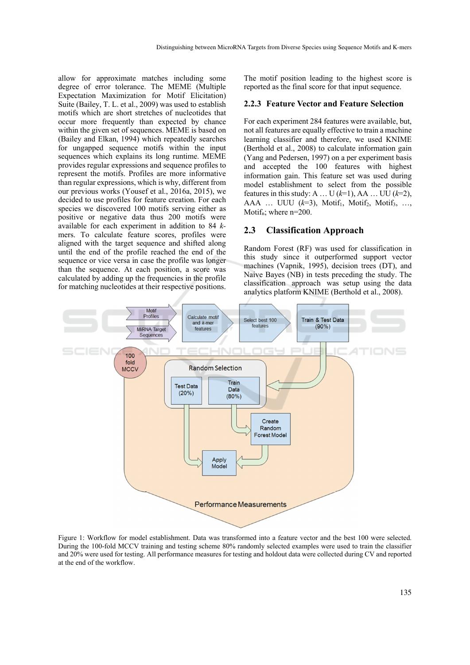allow for approximate matches including some degree of error tolerance. The MEME (Multiple Expectation Maximization for Motif Elicitation) Suite (Bailey, T. L. et al., 2009) was used to establish motifs which are short stretches of nucleotides that occur more frequently than expected by chance within the given set of sequences. MEME is based on (Bailey and Elkan, 1994) which repeatedly searches for ungapped sequence motifs within the input sequences which explains its long runtime. MEME provides regular expressions and sequence profiles to represent the motifs. Profiles are more informative than regular expressions, which is why, different from our previous works (Yousef et al., 2016a, 2015), we decided to use profiles for feature creation. For each species we discovered 100 motifs serving either as positive or negative data thus 200 motifs were available for each experiment in addition to 84 *k*mers. To calculate feature scores, profiles were aligned with the target sequence and shifted along until the end of the profile reached the end of the sequence or vice versa in case the profile was longer than the sequence. At each position, a score was calculated by adding up the frequencies in the profile for matching nucleotides at their respective positions.

The motif position leading to the highest score is reported as the final score for that input sequence.

#### **2.2.3 Feature Vector and Feature Selection**

For each experiment 284 features were available, but, not all features are equally effective to train a machine learning classifier and therefore, we used KNIME (Berthold et al., 2008) to calculate information gain (Yang and Pedersen, 1997) on a per experiment basis and accepted the 100 features with highest information gain. This feature set was used during model establishment to select from the possible features in this study: A ... U  $(k=1)$ , AA ... UU  $(k=2)$ , AAA ... UUU  $(k=3)$ , Motif<sub>1</sub>, Motif<sub>2</sub>, Motif<sub>3</sub>, ... Motif<sub>n</sub>; where  $n=200$ .

#### **2.3 Classification Approach**

Random Forest (RF) was used for classification in this study since it outperformed support vector machines (Vapnik, 1995), decision trees (DT), and Naive Bayes (NB) in tests preceding the study. The classification approach was setup using the data analytics platform KNIME (Berthold et al., 2008).



Figure 1: Workflow for model establishment. Data was transformed into a feature vector and the best 100 were selected. During the 100-fold MCCV training and testing scheme 80% randomly selected examples were used to train the classifier and 20% were used for testing. All performance measures for testing and holdout data were collected during CV and reported at the end of the workflow.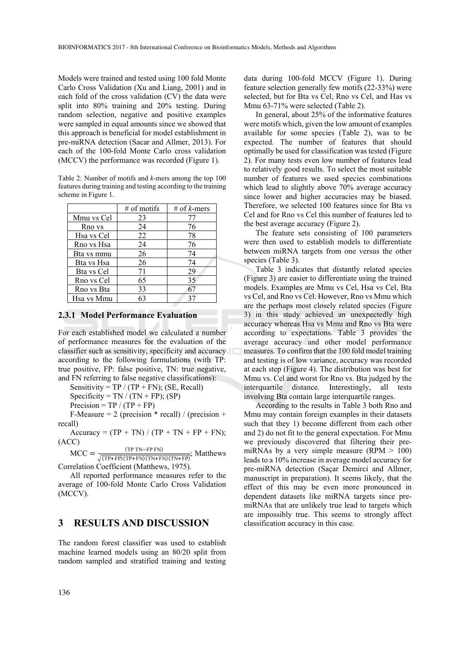Models were trained and tested using 100 fold Monte Carlo Cross Validation (Xu and Liang, 2001) and in each fold of the cross validation (CV) the data were split into 80% training and 20% testing. During random selection, negative and positive examples were sampled in equal amounts since we showed that this approach is beneficial for model establishment in pre-miRNA detection (Sacar and Allmer, 2013). For each of the 100-fold Monte Carlo cross validation (MCCV) the performance was recorded (Figure 1).

Table 2: Number of motifs and *k*-mers among the top 100 features during training and testing according to the training scheme in Figure 1.

|            | $#$ of motifs | # of k-mers |
|------------|---------------|-------------|
| Mmu vs Cel | 23            | 77          |
| Rno vs     | 24            | 76          |
| Hsa vs Cel | 22            | 78          |
| Rno vs Hsa | 24            | 76          |
| Bta vs mmu | 26            | 74          |
| Bta vs Hsa | 26            | 74          |
| Bta vs Cel | 71            | 29          |
| Rno vs Cel | 65            | 35          |
| Rno vs Bta | 33            | 67          |
| Hsa vs Mmu | 63            | 37          |

#### **2.3.1 Model Performance Evaluation**

For each established model we calculated a number of performance measures for the evaluation of the classifier such as sensitivity, specificity and accuracy according to the following formulations (with TP: true positive, FP: false positive, TN: true negative, and FN referring to false negative classifications):

Sensitivity =  $TP / (TP + FN)$ ; (SE, Recall)

Specificity =  $TN / (TN + FP)$ ; (SP)

Precision =  $TP / (TP + FP)$ 

F-Measure = 2 (precision  $*$  recall) / (precision + recall)

Accuracy =  $(TP + TN) / (TP + TN + FP + FN)$ ; (ACC)

 $MCC = \frac{(TP \text{ TN}-FP \text{ FN})}{\sqrt{(TP+FP)(TP+FN)(TN+FN)(TN+FP)}}$ ; Matthews Correlation Coefficient (Matthews, 1975).

All reported performance measures refer to the average of 100-fold Monte Carlo Cross Validation (MCCV).

### **3 RESULTS AND DISCUSSION**

The random forest classifier was used to establish machine learned models using an 80/20 split from random sampled and stratified training and testing data during 100-fold MCCV (Figure 1). During feature selection generally few motifs (22-33%) were selected, but for Bta vs Cel, Rno vs Cel, and Has vs Mmu 63-71% were selected (Table 2).

In general, about 25% of the informative features were motifs which, given the low amount of examples available for some species (Table 2), was to be expected. The number of features that should optimally be used for classification was tested (Figure 2). For many tests even low number of features lead to relatively good results. To select the most suitable number of features we used species combinations which lead to slightly above 70% average accuracy since lower and higher accuracies may be biased. Therefore, we selected 100 features since for Bta vs Cel and for Rno vs Cel this number of features led to the best average accuracy (Figure 2).

The feature sets consisting of 100 parameters were then used to establish models to differentiate between miRNA targets from one versus the other species (Table 3).

Table 3 indicates that distantly related species (Figure 3) are easier to differentiate using the trained models. Examples are Mmu vs Cel, Hsa vs Cel, Bta vs Cel, and Rno vs Cel. However, Rno vs Mmu which are the perhaps most closely related species (Figure 3) in this study achieved an unexpectedly high accuracy whereas Hsa vs Mmu and Rno vs Bta were according to expectations. Table 3 provides the average accuracy and other model performance measures. To confirm that the 100 fold model training and testing is of low variance, accuracy was recorded at each step (Figure 4). The distribution was best for Mmu vs. Cel and worst for Rno vs. Bta judged by the interquartile distance. Interestingly, all tests involving Bta contain large interquartile ranges.

According to the results in Table 3 both Rno and Mmu may contain foreign examples in their datasets such that they 1) become different from each other and 2) do not fit to the general expectation. For Mmu we previously discovered that filtering their premiRNAs by a very simple measure  $(RPM > 100)$ leads to a 10% increase in average model accuracy for pre-miRNA detection (Saçar Demirci and Allmer, manuscript in preparation). It seems likely, that the effect of this may be even more pronounced in dependent datasets like miRNA targets since premiRNAs that are unlikely true lead to targets which are impossibly true. This seems to strongly affect classification accuracy in this case.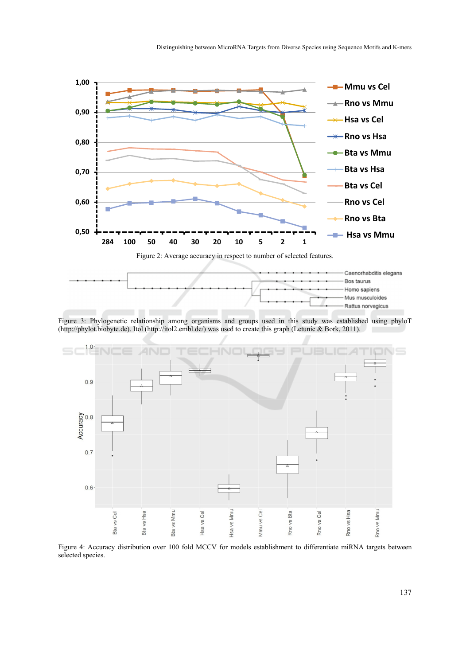

Figure 3: Phylogenetic relationship among organisms and groups used in this study was established using phyloT (http://phylot.biobyte.de). Itol (http://itol2.embl.de/) was used to create this graph (Letunic & Bork, 2011).



Figure 4: Accuracy distribution over 100 fold MCCV for models establishment to differentiate miRNA targets between selected species.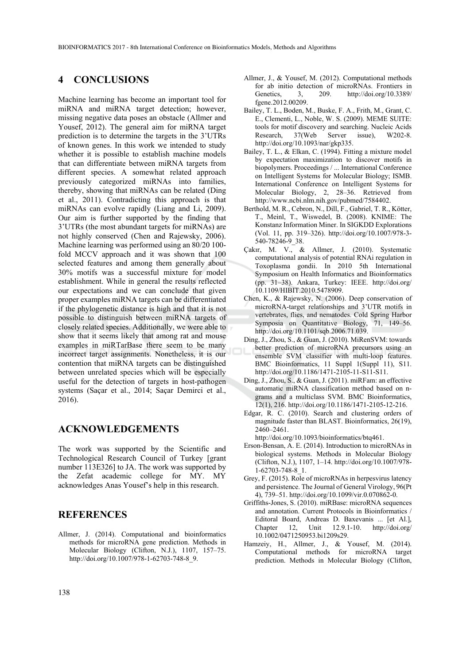### **4 CONCLUSIONS**

Machine learning has become an important tool for miRNA and miRNA target detection; however, missing negative data poses an obstacle (Allmer and Yousef, 2012). The general aim for miRNA target prediction is to determine the targets in the 3'UTRs of known genes. In this work we intended to study whether it is possible to establish machine models that can differentiate between miRNA targets from different species. A somewhat related approach previously categorized miRNAs into families, thereby, showing that miRNAs can be related (Ding et al., 2011). Contradicting this approach is that miRNAs can evolve rapidly (Liang and Li, 2009). Our aim is further supported by the finding that 3'UTRs (the most abundant targets for miRNAs) are not highly conserved (Chen and Rajewsky, 2006). Machine learning was performed using an 80/20 100 fold MCCV approach and it was shown that 100 selected features and among them generally about 30% motifs was a successful mixture for model establishment. While in general the results reflected our expectations and we can conclude that given proper examples miRNA targets can be differentiated if the phylogenetic distance is high and that it is not possible to distinguish between miRNA targets of closely related species. Additionally, we were able to show that it seems likely that among rat and mouse examples in miRTarBase there seem to be many incorrect target assignments. Nonetheless, it is our contention that miRNA targets can be distinguished between unrelated species which will be especially useful for the detection of targets in host-pathogen systems (Saçar et al., 2014; Saçar Demirci et al., 2016).

# **ACKNOWLEDGEMENTS**

The work was supported by the Scientific and Technological Research Council of Turkey [grant number 113E326] to JA. The work was supported by the Zefat academic college for MY. MY acknowledges Anas Yousef's help in this research.

### **REFERENCES**

Allmer, J. (2014). Computational and bioinformatics methods for microRNA gene prediction. Methods in Molecular Biology (Clifton, N.J.), 1107, 157–75. http://doi.org/10.1007/978-1-62703-748-8\_9.

- Allmer, J., & Yousef, M. (2012). Computational methods for ab initio detection of microRNAs. Frontiers in Genetics, 3, 209. http://doi.org/10.3389/ fgene.2012.00209.
- Bailey, T. L., Boden, M., Buske, F. A., Frith, M., Grant, C. E., Clementi, L., Noble, W. S. (2009). MEME SUITE: tools for motif discovery and searching. Nucleic Acids Research, 37(Web Server issue), W202-8. http://doi.org/10.1093/nar/gkp335.
- Bailey, T. L., & Elkan, C. (1994). Fitting a mixture model by expectation maximization to discover motifs in biopolymers. Proceedings / ... International Conference on Intelligent Systems for Molecular Biology; ISMB. International Conference on Intelligent Systems for Molecular Biology, 2, 28–36. Retrieved from http://www.ncbi.nlm.nih.gov/pubmed/7584402.
- Berthold, M. R., Cebron, N., Dill, F., Gabriel, T. R., Kötter, T., Meinl, T., Wiswedel, B. (2008). KNIME: The Konstanz Information Miner. In SIGKDD Explorations (Vol. 11, pp. 319–326). http://doi.org/10.1007/978-3- 540-78246-9\_38.
- Çakır, M. V., & Allmer, J. (2010). Systematic computational analysis of potential RNAi regulation in Toxoplasma gondii. In 2010 5th International Symposium on Health Informatics and Bioinformatics (pp. 31–38). Ankara, Turkey: IEEE. http://doi.org/ 10.1109/HIBIT.2010.5478909.
- Chen, K., & Rajewsky, N. (2006). Deep conservation of microRNA-target relationships and 3'UTR motifs in vertebrates, flies, and nematodes. Cold Spring Harbor Symposia on Quantitative Biology, 71, 149–56. http://doi.org/10.1101/sqb.2006.71.039.
- Ding, J., Zhou, S., & Guan, J. (2010). MiRenSVM: towards better prediction of microRNA precursors using an ensemble SVM classifier with multi-loop features. BMC Bioinformatics, 11 Suppl 1(Suppl 11), S11. http://doi.org/10.1186/1471-2105-11-S11-S11.
- Ding, J., Zhou, S., & Guan, J. (2011). miRFam: an effective automatic miRNA classification method based on ngrams and a multiclass SVM. BMC Bioinformatics, 12(1), 216. http://doi.org/10.1186/1471-2105-12-216.
- Edgar, R. C. (2010). Search and clustering orders of magnitude faster than BLAST. Bioinformatics, 26(19), 2460–2461.

http://doi.org/10.1093/bioinformatics/btq461.

- Erson-Bensan, A. E. (2014). Introduction to microRNAs in biological systems. Methods in Molecular Biology (Clifton, N.J.), 1107, 1–14. http://doi.org/10.1007/978- 1-62703-748-8\_1.
- Grey, F. (2015). Role of microRNAs in herpesvirus latency and persistence. The Journal of General Virology, 96(Pt 4), 739–51. http://doi.org/10.1099/vir.0.070862-0.
- Griffiths-Jones, S. (2010). miRBase: microRNA sequences and annotation. Current Protocols in Bioinformatics / Editoral Board, Andreas D. Baxevanis ... [et Al.], Chapter 12, Unit 12.9.1-10. http://doi.org/ 10.1002/0471250953.bi1209s29.
- Hamzeiy, H., Allmer, J., & Yousef, M. (2014). Computational methods for microRNA target prediction. Methods in Molecular Biology (Clifton,